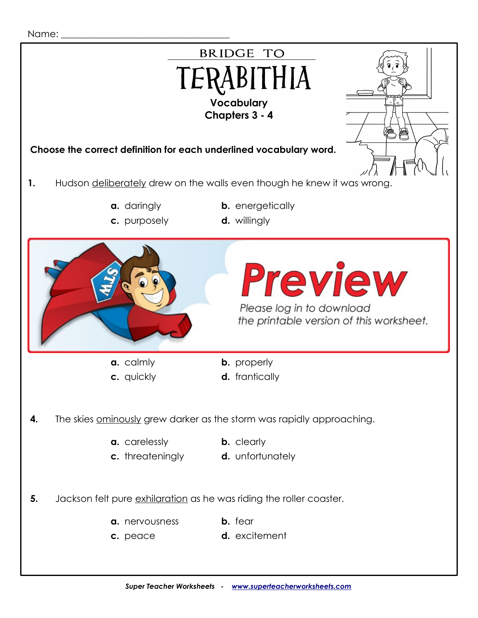